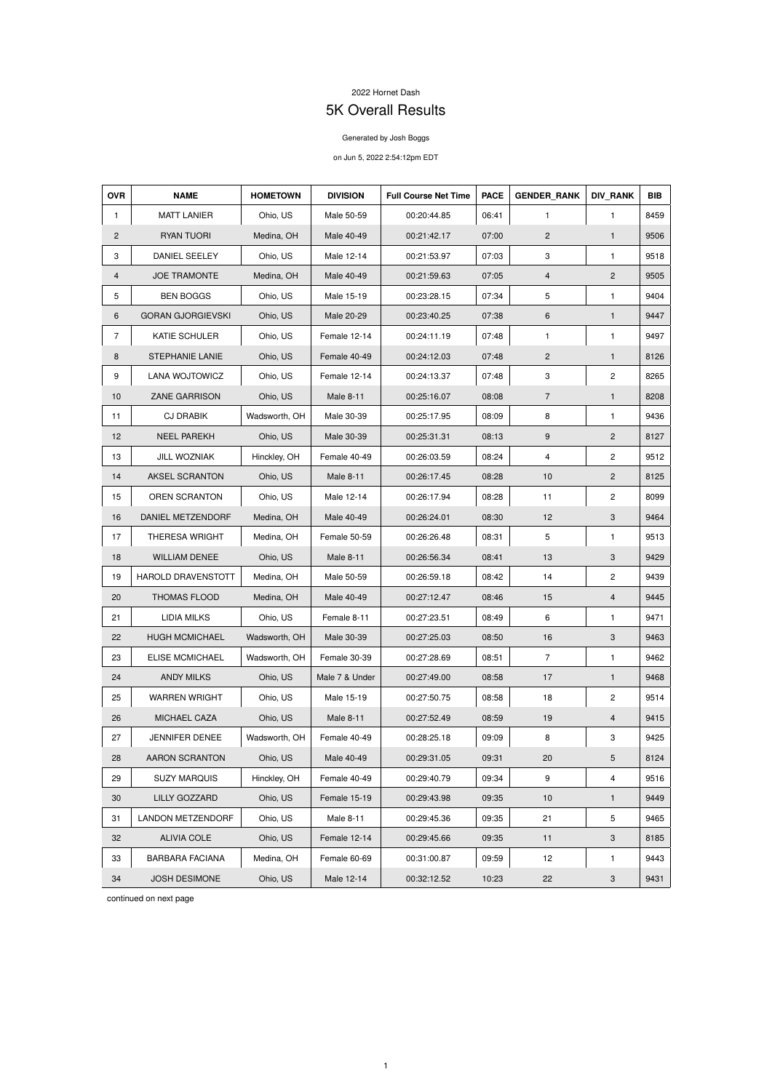## 2022 Hornet Dash

## 5K Overall Results

## Generated by Josh Boggs

## on Jun 5, 2022 2:54:12pm EDT

| <b>OVR</b>     | <b>NAME</b>               | <b>HOMETOWN</b> | <b>DIVISION</b>  | <b>Full Course Net Time</b> | <b>PACE</b> | <b>GENDER RANK</b>        | <b>DIV_RANK</b>           | <b>BIB</b> |
|----------------|---------------------------|-----------------|------------------|-----------------------------|-------------|---------------------------|---------------------------|------------|
| 1              | <b>MATT LANIER</b>        | Ohio, US        | Male 50-59       | 00:20:44.85                 | 06:41       | 1                         | $\mathbf{1}$              | 8459       |
| $\overline{2}$ | RYAN TUORI                | Medina, OH      | Male 40-49       | 00:21:42.17                 | 07:00       | $\overline{c}$            | $\mathbf{1}$              | 9506       |
| 3              | DANIEL SEELEY             | Ohio, US        | Male 12-14       | 00:21:53.97                 | 07:03       | 3                         | $\mathbf{1}$              | 9518       |
| 4              | <b>JOE TRAMONTE</b>       | Medina, OH      | Male 40-49       | 00:21:59.63                 | 07:05       | 4                         | $\overline{2}$            | 9505       |
| 5              | <b>BEN BOGGS</b>          | Ohio, US        | Male 15-19       | 00:23:28.15                 | 07:34       | 5                         | $\mathbf{1}$              | 9404       |
| 6              | <b>GORAN GJORGIEVSKI</b>  | Ohio, US        | Male 20-29       | 00:23:40.25                 | 07:38       | 6                         | $\mathbf{1}$              | 9447       |
| $\overline{7}$ | KATIE SCHULER             | Ohio, US        | Female 12-14     | 00:24:11.19                 | 07:48       | 1                         | $\mathbf{1}$              | 9497       |
| 8              | <b>STEPHANIE LANIE</b>    | Ohio, US        | Female 40-49     | 00:24:12.03                 | 07:48       | $\overline{c}$            | $\mathbf{1}$              | 8126       |
| 9              | <b>LANA WOJTOWICZ</b>     | Ohio, US        | Female 12-14     | 00:24:13.37                 | 07:48       | $\ensuremath{\mathsf{3}}$ | $\overline{c}$            | 8265       |
| 10             | <b>ZANE GARRISON</b>      | Ohio, US        | Male 8-11        | 00:25:16.07                 | 08:08       | $\overline{7}$            | $\mathbf{1}$              | 8208       |
| 11             | <b>CJ DRABIK</b>          | Wadsworth, OH   | Male 30-39       | 00:25:17.95                 | 08:09       | 8                         | $\mathbf{1}$              | 9436       |
| 12             | <b>NEEL PAREKH</b>        | Ohio, US        | Male 30-39       | 00:25:31.31                 | 08:13       | 9                         | $\overline{c}$            | 8127       |
| 13             | JILL WOZNIAK              | Hinckley, OH    | Female 40-49     | 00:26:03.59                 | 08:24       | 4                         | $\overline{c}$            | 9512       |
| 14             | AKSEL SCRANTON            | Ohio, US        | Male 8-11        | 00:26:17.45                 | 08:28       | 10                        | $\overline{c}$            | 8125       |
| 15             | OREN SCRANTON             | Ohio, US        | Male 12-14       | 00:26:17.94                 | 08:28       | 11                        | $\overline{c}$            | 8099       |
| 16             | DANIEL METZENDORF         | Medina, OH      | Male 40-49       | 00:26:24.01                 | 08:30       | 12                        | $\ensuremath{\mathsf{3}}$ | 9464       |
| 17             | <b>THERESA WRIGHT</b>     | Medina, OH      | Female 50-59     | 00:26:26.48                 | 08:31       | 5                         | $\mathbf{1}$              | 9513       |
| 18             | <b>WILLIAM DENEE</b>      | Ohio, US        | Male 8-11        | 00:26:56.34                 | 08:41       | 13                        | $\ensuremath{\mathsf{3}}$ | 9429       |
| 19             | <b>HAROLD DRAVENSTOTT</b> | Medina, OH      | Male 50-59       | 00:26:59.18                 | 08:42       | 14                        | $\mathbf{2}$              | 9439       |
| 20             | THOMAS FLOOD              | Medina, OH      | Male 40-49       | 00:27:12.47                 | 08:46       | 15                        | 4                         | 9445       |
| 21             | <b>LIDIA MILKS</b>        | Ohio, US        | Female 8-11      | 00:27:23.51                 | 08:49       | 6                         | $\mathbf{1}$              | 9471       |
| 22             | <b>HUGH MCMICHAEL</b>     | Wadsworth, OH   | Male 30-39       | 00:27:25.03                 | 08:50       | 16                        | 3                         | 9463       |
| 23             | <b>ELISE MCMICHAEL</b>    | Wadsworth, OH   | Female 30-39     | 00:27:28.69                 | 08:51       | $\overline{7}$            | $\mathbf{1}$              | 9462       |
| 24             | <b>ANDY MILKS</b>         | Ohio, US        | Male 7 & Under   | 00:27:49.00                 | 08:58       | 17                        | $\mathbf{1}$              | 9468       |
| 25             | <b>WARREN WRIGHT</b>      | Ohio, US        | Male 15-19       | 00:27:50.75                 | 08:58       | 18                        | $\mathbf{2}$              | 9514       |
| 26             | MICHAEL CAZA              | Ohio, US        | <b>Male 8-11</b> | 00:27:52.49                 | 08:59       | 19                        | $\overline{4}$            | 9415       |
| 27             | JENNIFER DENEE            | Wadsworth, OH   | Female 40-49     | 00:28:25.18                 | 09:09       | 8                         | 3                         | 9425       |
| 28             | AARON SCRANTON            | Ohio, US        | Male 40-49       | 00:29:31.05                 | 09:31       | 20                        | $\sqrt{5}$                | 8124       |
| 29             | <b>SUZY MARQUIS</b>       | Hinckley, OH    | Female 40-49     | 00:29:40.79                 | 09:34       | 9                         | $\overline{\mathbf{4}}$   | 9516       |
| 30             | LILLY GOZZARD             | Ohio, US        | Female 15-19     | 00:29:43.98                 | 09:35       | 10                        | $\mathbf{1}$              | 9449       |
| 31             | <b>LANDON METZENDORF</b>  | Ohio, US        | Male 8-11        | 00:29:45.36                 | 09:35       | 21                        | 5                         | 9465       |
| 32             | <b>ALIVIA COLE</b>        | Ohio, US        | Female 12-14     | 00:29:45.66                 | 09:35       | 11                        | $\mathbf 3$               | 8185       |
| 33             | <b>BARBARA FACIANA</b>    | Medina, OH      | Female 60-69     | 00:31:00.87                 | 09:59       | 12                        | $\mathbf{1}$              | 9443       |
| 34             | JOSH DESIMONE             | Ohio, US        | Male 12-14       | 00:32:12.52                 | 10:23       | 22                        | 3                         | 9431       |

continued on next page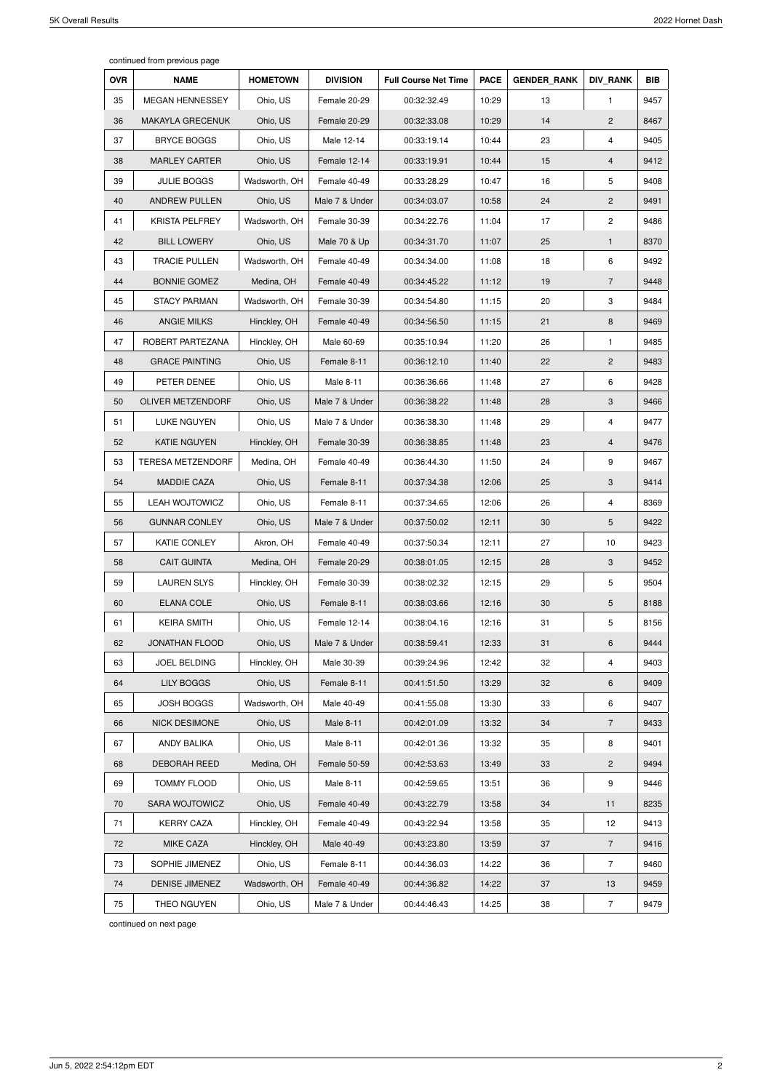continued from previous page

| <b>OVR</b> | <b>NAME</b>             | <b>HOMETOWN</b> | <b>DIVISION</b> | <b>Full Course Net Time</b> | <b>PACE</b> | <b>GENDER RANK</b> | <b>DIV RANK</b> | <b>BIB</b> |
|------------|-------------------------|-----------------|-----------------|-----------------------------|-------------|--------------------|-----------------|------------|
| 35         | <b>MEGAN HENNESSEY</b>  | Ohio, US        | Female 20-29    | 00:32:32.49                 | 10:29       | 13                 | $\mathbf{1}$    | 9457       |
| 36         | <b>MAKAYLA GRECENUK</b> | Ohio, US        | Female 20-29    | 00:32:33.08                 | 10:29       | 14                 | $\overline{2}$  | 8467       |
| 37         | <b>BRYCE BOGGS</b>      | Ohio, US        | Male 12-14      | 00:33:19.14                 | 10:44       | 23                 | 4               | 9405       |
| 38         | <b>MARLEY CARTER</b>    | Ohio, US        | Female 12-14    | 00:33:19.91                 | 10:44       | 15                 | $\overline{4}$  | 9412       |
| 39         | <b>JULIE BOGGS</b>      | Wadsworth, OH   | Female 40-49    | 00:33:28.29                 | 10:47       | 16                 | 5               | 9408       |
| 40         | <b>ANDREW PULLEN</b>    | Ohio, US        | Male 7 & Under  | 00:34:03.07                 | 10:58       | 24                 | $\overline{2}$  | 9491       |
| 41         | <b>KRISTA PELFREY</b>   | Wadsworth, OH   | Female 30-39    | 00:34:22.76                 | 11:04       | 17                 | $\mathbf{2}$    | 9486       |
| 42         | <b>BILL LOWERY</b>      | Ohio, US        | Male 70 & Up    | 00:34:31.70                 | 11:07       | 25                 | $\mathbf{1}$    | 8370       |
| 43         | <b>TRACIE PULLEN</b>    | Wadsworth, OH   | Female 40-49    | 00:34:34.00                 | 11:08       | 18                 | 6               | 9492       |
| 44         | <b>BONNIE GOMEZ</b>     | Medina, OH      | Female 40-49    | 00:34:45.22                 | 11:12       | 19                 | $\overline{7}$  | 9448       |
| 45         | <b>STACY PARMAN</b>     | Wadsworth, OH   | Female 30-39    | 00:34:54.80                 | 11:15       | 20                 | 3               | 9484       |
| 46         | <b>ANGIE MILKS</b>      | Hinckley, OH    | Female 40-49    | 00:34:56.50                 | 11:15       | 21                 | 8               | 9469       |
| 47         | ROBERT PARTEZANA        | Hinckley, OH    | Male 60-69      | 00:35:10.94                 | 11:20       | 26                 | $\mathbf{1}$    | 9485       |
| 48         | <b>GRACE PAINTING</b>   | Ohio, US        | Female 8-11     | 00:36:12.10                 | 11:40       | 22                 | $\overline{2}$  | 9483       |
| 49         | PETER DENEE             | Ohio, US        | Male 8-11       | 00:36:36.66                 | 11:48       | 27                 | 6               | 9428       |
| 50         | OLIVER METZENDORF       | Ohio, US        | Male 7 & Under  | 00:36:38.22                 | 11:48       | 28                 | 3               | 9466       |
| 51         | <b>LUKE NGUYEN</b>      | Ohio, US        | Male 7 & Under  | 00:36:38.30                 | 11:48       | 29                 | 4               | 9477       |
| 52         | <b>KATIE NGUYEN</b>     | Hinckley, OH    | Female 30-39    | 00:36:38.85                 | 11:48       | 23                 | 4               | 9476       |
| 53         | TERESA METZENDORF       | Medina, OH      | Female 40-49    | 00:36:44.30                 | 11:50       | 24                 | 9               | 9467       |
| 54         | <b>MADDIE CAZA</b>      | Ohio, US        | Female 8-11     | 00:37:34.38                 | 12:06       | 25                 | 3               | 9414       |
| 55         | <b>LEAH WOJTOWICZ</b>   | Ohio, US        | Female 8-11     | 00:37:34.65                 | 12:06       | 26                 | 4               | 8369       |
| 56         | <b>GUNNAR CONLEY</b>    | Ohio, US        | Male 7 & Under  | 00:37:50.02                 | 12:11       | 30                 | $5\phantom{.0}$ | 9422       |
| 57         | <b>KATIE CONLEY</b>     | Akron, OH       | Female 40-49    | 00:37:50.34                 | 12:11       | 27                 | 10              | 9423       |
| 58         | <b>CAIT GUINTA</b>      | Medina, OH      | Female 20-29    | 00:38:01.05                 | 12:15       | 28                 | 3               | 9452       |
| 59         | <b>LAUREN SLYS</b>      | Hinckley, OH    | Female 30-39    | 00:38:02.32                 | 12:15       | 29                 | 5               | 9504       |
| 60         | <b>ELANA COLE</b>       | Ohio, US        | Female 8-11     | 00:38:03.66                 | 12:16       | 30                 | 5               | 8188       |
| 61         | <b>KEIRA SMITH</b>      | Ohio, US        | Female 12-14    | 00:38:04.16                 | 12:16       | 31                 | $5\phantom{.0}$ | 8156       |
| 62         | JONATHAN FLOOD          | Ohio, US        | Male 7 & Under  | 00:38:59.41                 | 12:33       | 31                 | 6               | 9444       |
| 63         | <b>JOEL BELDING</b>     | Hinckley, OH    | Male 30-39      | 00:39:24.96                 | 12:42       | 32                 | 4               | 9403       |
| 64         | <b>LILY BOGGS</b>       | Ohio, US        | Female 8-11     | 00:41:51.50                 | 13:29       | 32                 | 6               | 9409       |
| 65         | <b>JOSH BOGGS</b>       | Wadsworth, OH   | Male 40-49      | 00:41:55.08                 | 13:30       | 33                 | 6               | 9407       |
| 66         | <b>NICK DESIMONE</b>    | Ohio, US        | Male 8-11       | 00:42:01.09                 | 13:32       | 34                 | $\overline{7}$  | 9433       |
| 67         | <b>ANDY BALIKA</b>      | Ohio, US        | Male 8-11       | 00:42:01.36                 | 13:32       | 35                 | 8               | 9401       |
| 68         | DEBORAH REED            | Medina, OH      | Female 50-59    | 00:42:53.63                 | 13:49       | 33                 | $\overline{2}$  | 9494       |
| 69         | <b>TOMMY FLOOD</b>      | Ohio, US        | Male 8-11       | 00:42:59.65                 | 13:51       | 36                 | 9               | 9446       |
| 70         | SARA WOJTOWICZ          | Ohio, US        | Female 40-49    | 00:43:22.79                 | 13:58       | 34                 | 11              | 8235       |
| 71         | <b>KERRY CAZA</b>       | Hinckley, OH    | Female 40-49    | 00:43:22.94                 | 13:58       | 35                 | 12              | 9413       |
| 72         | <b>MIKE CAZA</b>        | Hinckley, OH    | Male 40-49      | 00:43:23.80                 | 13:59       | 37                 | $\overline{7}$  | 9416       |
| 73         | SOPHIE JIMENEZ          | Ohio, US        | Female 8-11     | 00:44:36.03                 | 14:22       | 36                 | $\overline{7}$  | 9460       |
| 74         | <b>DENISE JIMENEZ</b>   | Wadsworth, OH   | Female 40-49    | 00:44:36.82                 | 14:22       | 37                 | 13              | 9459       |
| 75         | THEO NGUYEN             | Ohio, US        | Male 7 & Under  | 00:44:46.43                 | 14:25       | 38                 | $\overline{7}$  | 9479       |

continued on next page